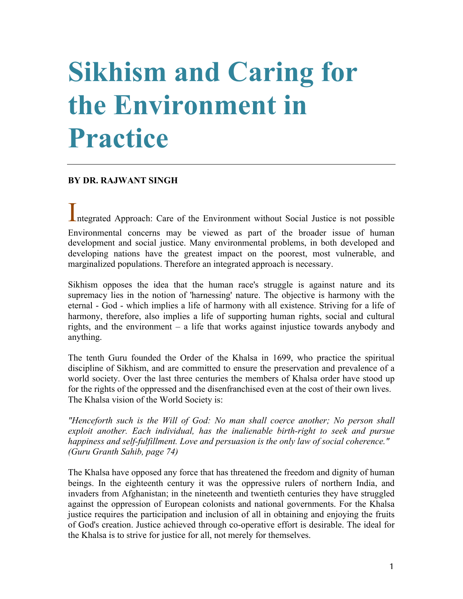# **Sikhism and Caring for the Environment in Practice**

#### **BY DR. RAJWANT SINGH**

Integrated Approach: Care of the Environment without Social Justice is not possible

Environmental concerns may be viewed as part of the broader issue of human development and social justice. Many environmental problems, in both developed and developing nations have the greatest impact on the poorest, most vulnerable, and marginalized populations. Therefore an integrated approach is necessary.

Sikhism opposes the idea that the human race's struggle is against nature and its supremacy lies in the notion of 'harnessing' nature. The objective is harmony with the eternal - God - which implies a life of harmony with all existence. Striving for a life of harmony, therefore, also implies a life of supporting human rights, social and cultural rights, and the environment – a life that works against injustice towards anybody and anything.

The tenth Guru founded the Order of the Khalsa in 1699, who practice the spiritual discipline of Sikhism, and are committed to ensure the preservation and prevalence of a world society. Over the last three centuries the members of Khalsa order have stood up for the rights of the oppressed and the disenfranchised even at the cost of their own lives. The Khalsa vision of the World Society is:

*"Henceforth such is the Will of God: No man shall coerce another; No person shall exploit another. Each individual, has the inalienable birth-right to seek and pursue happiness and self-fulfillment. Love and persuasion is the only law of social coherence." (Guru Granth Sahib, page 74)*

The Khalsa have opposed any force that has threatened the freedom and dignity of human beings. In the eighteenth century it was the oppressive rulers of northern India, and invaders from Afghanistan; in the nineteenth and twentieth centuries they have struggled against the oppression of European colonists and national governments. For the Khalsa justice requires the participation and inclusion of all in obtaining and enjoying the fruits of God's creation. Justice achieved through co-operative effort is desirable. The ideal for the Khalsa is to strive for justice for all, not merely for themselves.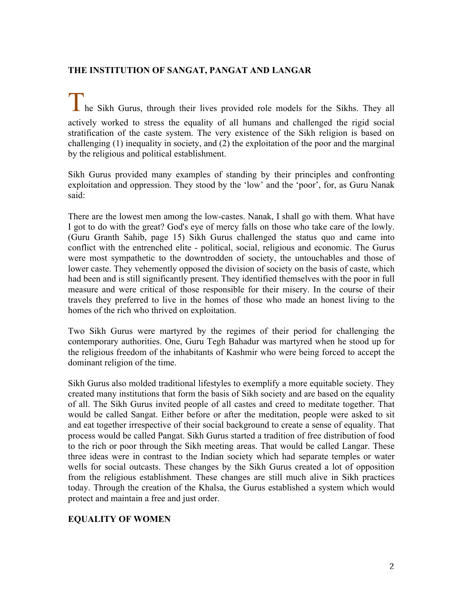### **THE INSTITUTION OF SANGAT, PANGAT AND LANGAR**

The Sikh Gurus, through their lives provided role models for the Sikhs. They all actively worked to stress the equality of all humans and challenged the rigid social stratification of the caste system. The very existence of the Sikh religion is based on challenging (1) inequality in society, and (2) the exploitation of the poor and the marginal by the religious and political establishment.

Sikh Gurus provided many examples of standing by their principles and confronting exploitation and oppression. They stood by the 'low' and the 'poor', for, as Guru Nanak said:

There are the lowest men among the low-castes. Nanak, I shall go with them. What have I got to do with the great? God's eye of mercy falls on those who take care of the lowly. (Guru Granth Sahib, page 15) Sikh Gurus challenged the status quo and came into conflict with the entrenched elite - political, social, religious and economic. The Gurus were most sympathetic to the downtrodden of society, the untouchables and those of lower caste. They vehemently opposed the division of society on the basis of caste, which had been and is still significantly present. They identified themselves with the poor in full measure and were critical of those responsible for their misery. In the course of their travels they preferred to live in the homes of those who made an honest living to the homes of the rich who thrived on exploitation.

Two Sikh Gurus were martyred by the regimes of their period for challenging the contemporary authorities. One, Guru Tegh Bahadur was martyred when he stood up for the religious freedom of the inhabitants of Kashmir who were being forced to accept the dominant religion of the time.

Sikh Gurus also molded traditional lifestyles to exemplify a more equitable society. They created many institutions that form the basis of Sikh society and are based on the equality of all. The Sikh Gurus invited people of all castes and creed to meditate together. That would be called Sangat. Either before or after the meditation, people were asked to sit and eat together irrespective of their social background to create a sense of equality. That process would be called Pangat. Sikh Gurus started a tradition of free distribution of food to the rich or poor through the Sikh meeting areas. That would be called Langar. These three ideas were in contrast to the Indian society which had separate temples or water wells for social outcasts. These changes by the Sikh Gurus created a lot of opposition from the religious establishment. These changes are still much alive in Sikh practices today. Through the creation of the Khalsa, the Gurus established a system which would protect and maintain a free and just order.

#### **EQUALITY OF WOMEN**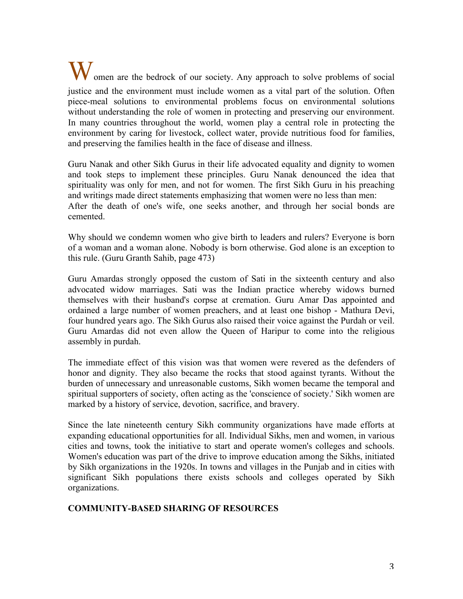W omen are the bedrock of our society. Any approach to solve problems of social justice and the environment must include women as a vital part of the solution. Often piece-meal solutions to environmental problems focus on environmental solutions without understanding the role of women in protecting and preserving our environment. In many countries throughout the world, women play a central role in protecting the environment by caring for livestock, collect water, provide nutritious food for families, and preserving the families health in the face of disease and illness.

Guru Nanak and other Sikh Gurus in their life advocated equality and dignity to women and took steps to implement these principles. Guru Nanak denounced the idea that spirituality was only for men, and not for women. The first Sikh Guru in his preaching and writings made direct statements emphasizing that women were no less than men: After the death of one's wife, one seeks another, and through her social bonds are cemented.

Why should we condemn women who give birth to leaders and rulers? Everyone is born of a woman and a woman alone. Nobody is born otherwise. God alone is an exception to this rule. (Guru Granth Sahib, page 473)

Guru Amardas strongly opposed the custom of Sati in the sixteenth century and also advocated widow marriages. Sati was the Indian practice whereby widows burned themselves with their husband's corpse at cremation. Guru Amar Das appointed and ordained a large number of women preachers, and at least one bishop - Mathura Devi, four hundred years ago. The Sikh Gurus also raised their voice against the Purdah or veil. Guru Amardas did not even allow the Queen of Haripur to come into the religious assembly in purdah.

The immediate effect of this vision was that women were revered as the defenders of honor and dignity. They also became the rocks that stood against tyrants. Without the burden of unnecessary and unreasonable customs, Sikh women became the temporal and spiritual supporters of society, often acting as the 'conscience of society.' Sikh women are marked by a history of service, devotion, sacrifice, and bravery.

Since the late nineteenth century Sikh community organizations have made efforts at expanding educational opportunities for all. Individual Sikhs, men and women, in various cities and towns, took the initiative to start and operate women's colleges and schools. Women's education was part of the drive to improve education among the Sikhs, initiated by Sikh organizations in the 1920s. In towns and villages in the Punjab and in cities with significant Sikh populations there exists schools and colleges operated by Sikh organizations.

#### **COMMUNITY-BASED SHARING OF RESOURCES**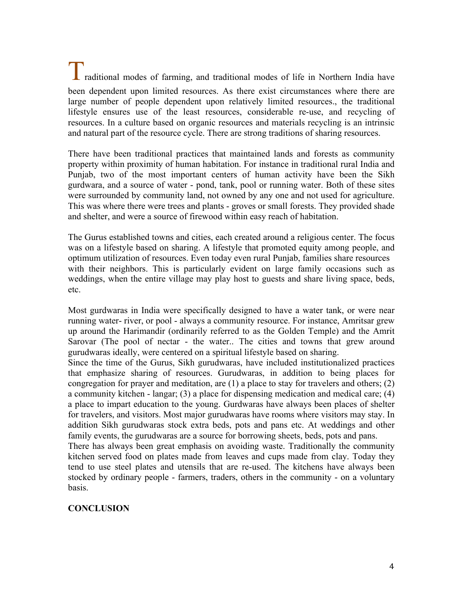Traditional modes of farming, and traditional modes of life in Northern India have been dependent upon limited resources. As there exist circumstances where there are large number of people dependent upon relatively limited resources., the traditional lifestyle ensures use of the least resources, considerable re-use, and recycling of resources. In a culture based on organic resources and materials recycling is an intrinsic and natural part of the resource cycle. There are strong traditions of sharing resources.

There have been traditional practices that maintained lands and forests as community property within proximity of human habitation. For instance in traditional rural India and Punjab, two of the most important centers of human activity have been the Sikh gurdwara, and a source of water - pond, tank, pool or running water. Both of these sites were surrounded by community land, not owned by any one and not used for agriculture. This was where there were trees and plants - groves or small forests. They provided shade and shelter, and were a source of firewood within easy reach of habitation.

The Gurus established towns and cities, each created around a religious center. The focus was on a lifestyle based on sharing. A lifestyle that promoted equity among people, and optimum utilization of resources. Even today even rural Punjab, families share resources with their neighbors. This is particularly evident on large family occasions such as weddings, when the entire village may play host to guests and share living space, beds, etc.

Most gurdwaras in India were specifically designed to have a water tank, or were near running water- river, or pool - always a community resource. For instance, Amritsar grew up around the Harimandir (ordinarily referred to as the Golden Temple) and the Amrit Sarovar (The pool of nectar - the water.. The cities and towns that grew around gurudwaras ideally, were centered on a spiritual lifestyle based on sharing.

Since the time of the Gurus, Sikh gurudwaras, have included institutionalized practices that emphasize sharing of resources. Gurudwaras, in addition to being places for congregation for prayer and meditation, are  $(1)$  a place to stay for travelers and others;  $(2)$ a community kitchen - langar; (3) a place for dispensing medication and medical care; (4) a place to impart education to the young. Gurdwaras have always been places of shelter for travelers, and visitors. Most major gurudwaras have rooms where visitors may stay. In addition Sikh gurudwaras stock extra beds, pots and pans etc. At weddings and other family events, the gurudwaras are a source for borrowing sheets, beds, pots and pans.

There has always been great emphasis on avoiding waste. Traditionally the community kitchen served food on plates made from leaves and cups made from clay. Today they tend to use steel plates and utensils that are re-used. The kitchens have always been stocked by ordinary people - farmers, traders, others in the community - on a voluntary basis.

## **CONCLUSION**